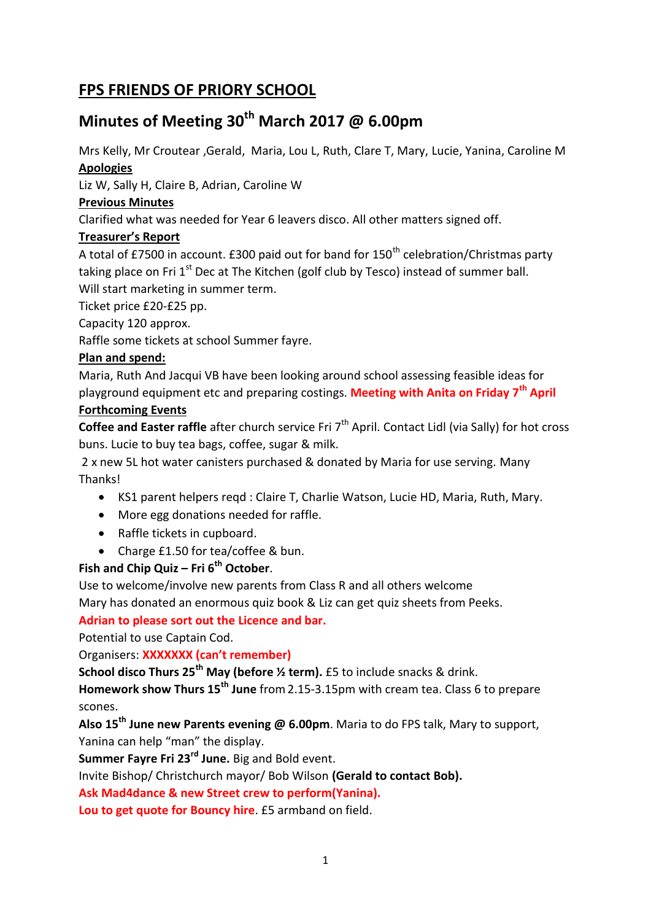## **FPS FRIENDS OF PRIORY SCHOOL**

# **Minutes of Meeting 30th March 2017 @ 6.00pm**

Mrs Kelly, Mr Croutear ,Gerald, Maria, Lou L, Ruth, Clare T, Mary, Lucie, Yanina, Caroline M **Apologies**

Liz W, Sally H, Claire B, Adrian, Caroline W

## **Previous Minutes**

Clarified what was needed for Year 6 leavers disco. All other matters signed off.

## **Treasurer's Report**

A total of £7500 in account. £300 paid out for band for  $150<sup>th</sup>$  celebration/Christmas party taking place on Fri  $1<sup>st</sup>$  Dec at The Kitchen (golf club by Tesco) instead of summer ball. Will start marketing in summer term.

Ticket price £20-£25 pp.

Capacity 120 approx.

Raffle some tickets at school Summer fayre.

## **Plan and spend:**

Maria, Ruth And Jacqui VB have been looking around school assessing feasible ideas for playground equipment etc and preparing costings. **Meeting with Anita on Friday 7th April**

#### **Forthcoming Events**

**Coffee and Easter raffle** after church service Fri 7<sup>th</sup> April. Contact Lidl (via Sally) for hot cross buns. Lucie to buy tea bags, coffee, sugar & milk.

2 x new 5L hot water canisters purchased & donated by Maria for use serving. Many Thanks!

- KS1 parent helpers reqd : Claire T, Charlie Watson, Lucie HD, Maria, Ruth, Mary.
- More egg donations needed for raffle.
- Raffle tickets in cupboard.
- Charge £1.50 for tea/coffee & bun.

## **Fish and Chip Quiz – Fri 6th October**.

Use to welcome/involve new parents from Class R and all others welcome

Mary has donated an enormous quiz book & Liz can get quiz sheets from Peeks.

## **Adrian to please sort out the Licence and bar.**

Potential to use Captain Cod.

Organisers: **XXXXXXX (can't remember)**

**School disco Thurs 25th May (before ½ term).** £5 to include snacks & drink.

**Homework show Thurs 15th June** from2.15-3.15pm with cream tea. Class 6 to prepare scones.

**Also 15th June new Parents evening @ 6.00pm**. Maria to do FPS talk, Mary to support, Yanina can help "man" the display.

**Summer Fayre Fri 23rd June.** Big and Bold event.

Invite Bishop/ Christchurch mayor/ Bob Wilson **(Gerald to contact Bob).**

**Ask Mad4dance & new Street crew to perform(Yanina).**

**Lou to get quote for Bouncy hire**. £5 armband on field.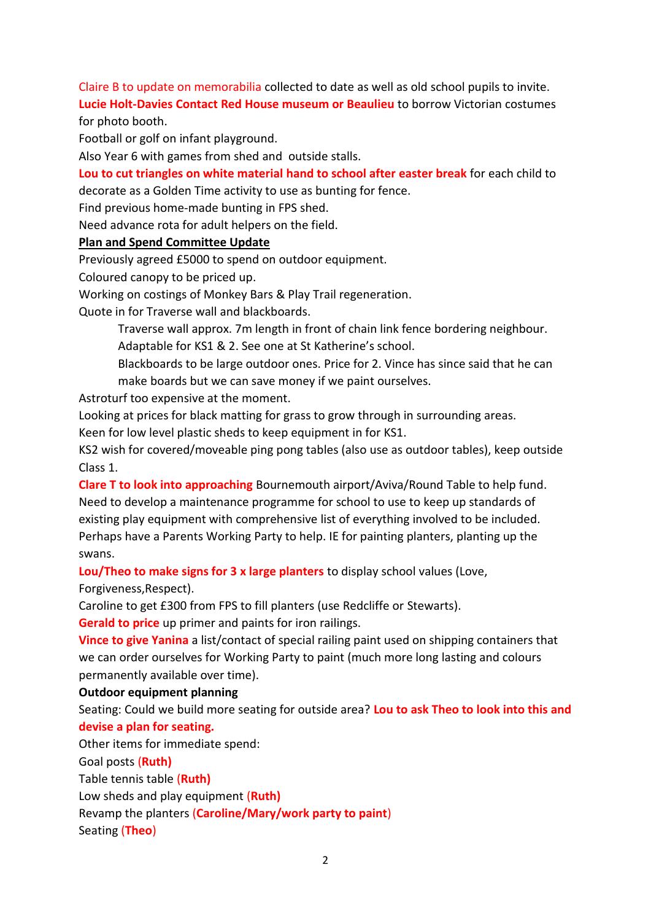Claire B to update on memorabilia collected to date as well as old school pupils to invite.

**Lucie Holt-Davies Contact Red House museum or Beaulieu** to borrow Victorian costumes for photo booth.

Football or golf on infant playground.

Also Year 6 with games from shed and outside stalls.

### **Lou to cut triangles on white material hand to school after easter break** for each child to

decorate as a Golden Time activity to use as bunting for fence.

Find previous home-made bunting in FPS shed.

Need advance rota for adult helpers on the field.

#### **Plan and Spend Committee Update**

Previously agreed £5000 to spend on outdoor equipment.

Coloured canopy to be priced up.

Working on costings of Monkey Bars & Play Trail regeneration.

Quote in for Traverse wall and blackboards.

Traverse wall approx. 7m length in front of chain link fence bordering neighbour. Adaptable for KS1 & 2. See one at St Katherine's school.

Blackboards to be large outdoor ones. Price for 2. Vince has since said that he can make boards but we can save money if we paint ourselves.

Astroturf too expensive at the moment.

Looking at prices for black matting for grass to grow through in surrounding areas.

Keen for low level plastic sheds to keep equipment in for KS1.

KS2 wish for covered/moveable ping pong tables (also use as outdoor tables), keep outside Class 1.

**Clare T to look into approaching** Bournemouth airport/Aviva/Round Table to help fund. Need to develop a maintenance programme for school to use to keep up standards of existing play equipment with comprehensive list of everything involved to be included. Perhaps have a Parents Working Party to help. IE for painting planters, planting up the swans.

**Lou/Theo to make signs for 3 x large planters** to display school values (Love,

Forgiveness,Respect).

Caroline to get £300 from FPS to fill planters (use Redcliffe or Stewarts).

**Gerald to price** up primer and paints for iron railings.

**Vince to give Yanina** a list/contact of special railing paint used on shipping containers that we can order ourselves for Working Party to paint (much more long lasting and colours permanently available over time).

#### **Outdoor equipment planning**

Seating: Could we build more seating for outside area? **Lou to ask Theo to look into this and devise a plan for seating.**

Other items for immediate spend:

Goal posts (**Ruth)**

Table tennis table (**Ruth)**

Low sheds and play equipment (**Ruth)**

Revamp the planters (**Caroline/Mary/work party to paint**)

Seating (**Theo**)